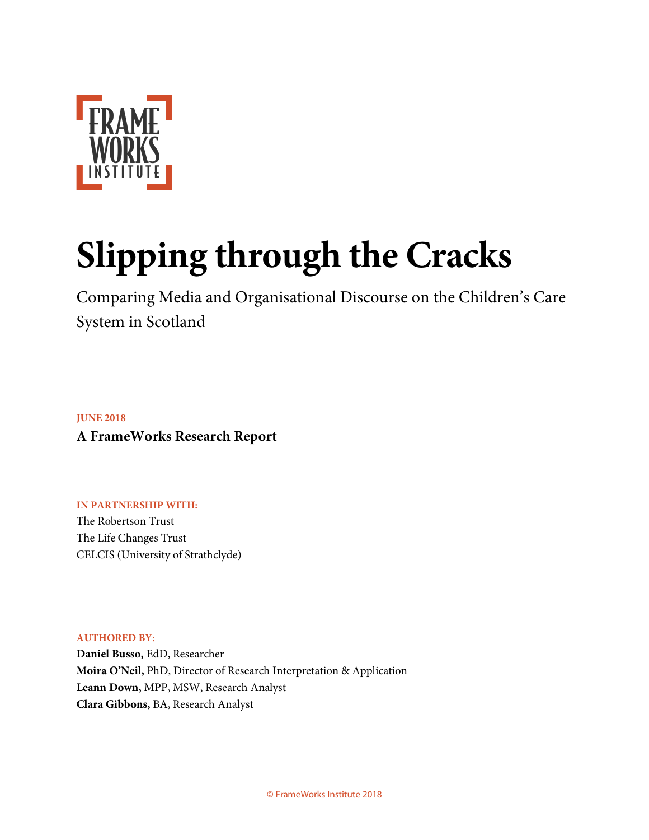

# **Slipping through the Cracks**

Comparing Media and Organisational Discourse on the Children's Care System in Scotland

**JUNE 2018 A FrameWorks Research Report**

**IN PARTNERSHIP WITH:** The Robertson Trust The Life Changes Trust CELCIS (University of Strathclyde)

**AUTHORED BY:** 

**Daniel Busso,** EdD, Researcher **Moira O'Neil,** PhD, Director of Research Interpretation & Application **Leann Down,** MPP, MSW, Research Analyst **Clara Gibbons,** BA, Research Analyst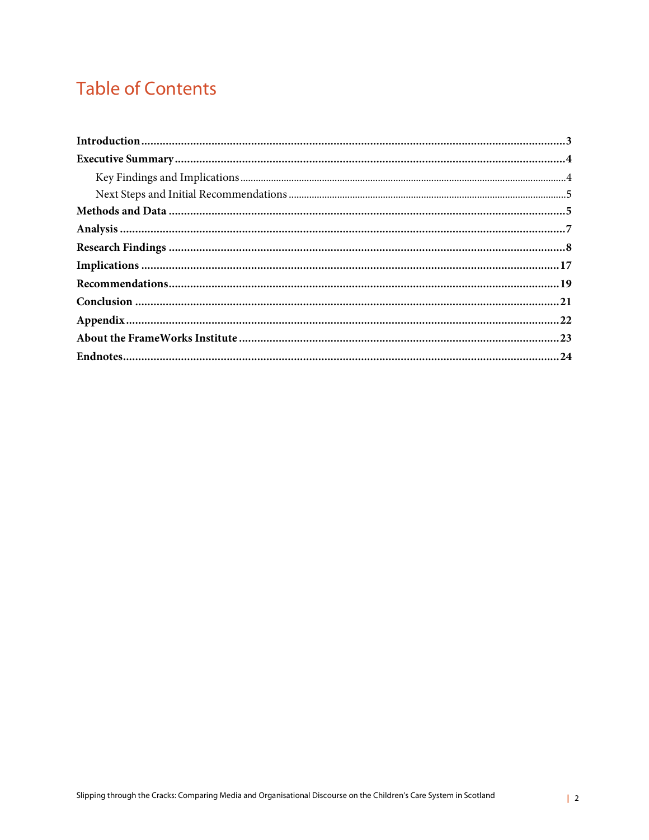# **Table of Contents**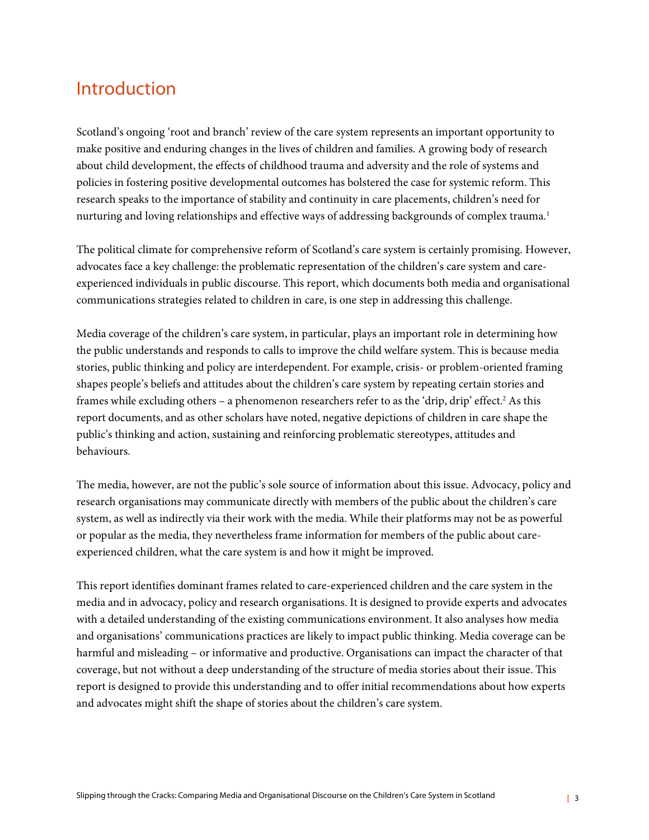### Introduction

Scotland's ongoing 'root and branch' review of the care system represents an important opportunity to make positive and enduring changes in the lives of children and families. A growing body of research about child development, the effects of childhood trauma and adversity and the role of systems and policies in fostering positive developmental outcomes has bolstered the case for systemic reform. This research speaks to the importance of stability and continuity in care placements, children's need for nurturing and loving relationships and effective ways of addressing backgrounds of complex trauma.<sup>1</sup>

The political climate for comprehensive reform of Scotland's care system is certainly promising. However, advocates face a key challenge: the problematic representation of the children's care system and careexperienced individuals in public discourse. This report, which documents both media and organisational communications strategies related to children in care, is one step in addressing this challenge.

Media coverage of the children's care system, in particular, plays an important role in determining how the public understands and responds to calls to improve the child welfare system. This is because media stories, public thinking and policy are interdependent. For example, crisis- or problem-oriented framing shapes people's beliefs and attitudes about the children's care system by repeating certain stories and frames while excluding others – a phenomenon researchers refer to as the 'drip, drip' effect.<sup>2</sup> As this report documents, and as other scholars have noted, negative depictions of children in care shape the public's thinking and action, sustaining and reinforcing problematic stereotypes, attitudes and behaviours.

The media, however, are not the public's sole source of information about this issue. Advocacy, policy and research organisations may communicate directly with members of the public about the children's care system, as well as indirectly via their work with the media. While their platforms may not be as powerful or popular as the media, they nevertheless frame information for members of the public about careexperienced children, what the care system is and how it might be improved.

This report identifies dominant frames related to care-experienced children and the care system in the media and in advocacy, policy and research organisations. It is designed to provide experts and advocates with a detailed understanding of the existing communications environment. It also analyses how media and organisations' communications practices are likely to impact public thinking. Media coverage can be harmful and misleading – or informative and productive. Organisations can impact the character of that coverage, but not without a deep understanding of the structure of media stories about their issue. This report is designed to provide this understanding and to offer initial recommendations about how experts and advocates might shift the shape of stories about the children's care system.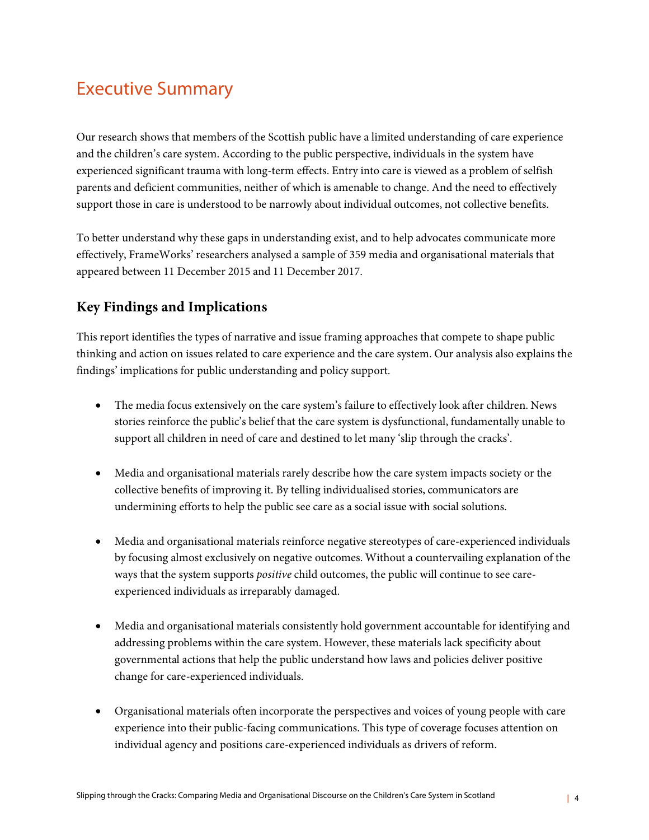# Executive Summary

Our research shows that members of the Scottish public have a limited understanding of care experience and the children's care system. According to the public perspective, individuals in the system have experienced significant trauma with long-term effects. Entry into care is viewed as a problem of selfish parents and deficient communities, neither of which is amenable to change. And the need to effectively support those in care is understood to be narrowly about individual outcomes, not collective benefits.

To better understand why these gaps in understanding exist, and to help advocates communicate more effectively, FrameWorks' researchers analysed a sample of 359 media and organisational materials that appeared between 11 December 2015 and 11 December 2017.

### **Key Findings and Implications**

This report identifies the types of narrative and issue framing approaches that compete to shape public thinking and action on issues related to care experience and the care system. Our analysis also explains the findings' implications for public understanding and policy support.

- The media focus extensively on the care system's failure to effectively look after children. News stories reinforce the public's belief that the care system is dysfunctional, fundamentally unable to support all children in need of care and destined to let many 'slip through the cracks'.
- Media and organisational materials rarely describe how the care system impacts society or the collective benefits of improving it. By telling individualised stories, communicators are undermining efforts to help the public see care as a social issue with social solutions.
- Media and organisational materials reinforce negative stereotypes of care-experienced individuals by focusing almost exclusively on negative outcomes. Without a countervailing explanation of the ways that the system supports *positive* child outcomes, the public will continue to see careexperienced individuals as irreparably damaged.
- Media and organisational materials consistently hold government accountable for identifying and addressing problems within the care system. However, these materials lack specificity about governmental actions that help the public understand how laws and policies deliver positive change for care-experienced individuals.
- Organisational materials often incorporate the perspectives and voices of young people with care experience into their public-facing communications. This type of coverage focuses attention on individual agency and positions care-experienced individuals as drivers of reform.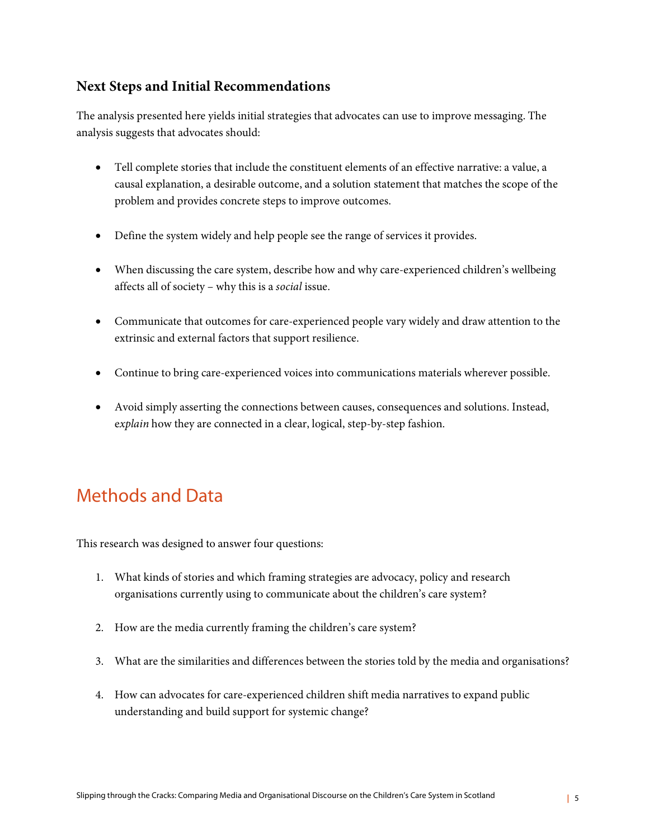#### **Next Steps and Initial Recommendations**

The analysis presented here yields initial strategies that advocates can use to improve messaging. The analysis suggests that advocates should:

- Tell complete stories that include the constituent elements of an effective narrative: a value, a causal explanation, a desirable outcome, and a solution statement that matches the scope of the problem and provides concrete steps to improve outcomes.
- Define the system widely and help people see the range of services it provides.
- When discussing the care system, describe how and why care-experienced children's wellbeing affects all of society – why this is a *social* issue.
- Communicate that outcomes for care-experienced people vary widely and draw attention to the extrinsic and external factors that support resilience.
- Continue to bring care-experienced voices into communications materials wherever possible.
- Avoid simply asserting the connections between causes, consequences and solutions. Instead, e*xplain* how they are connected in a clear, logical, step-by-step fashion.

## Methods and Data

This research was designed to answer four questions:

- 1. What kinds of stories and which framing strategies are advocacy, policy and research organisations currently using to communicate about the children's care system?
- 2. How are the media currently framing the children's care system?
- 3. What are the similarities and differences between the stories told by the media and organisations?
- 4. How can advocates for care-experienced children shift media narratives to expand public understanding and build support for systemic change?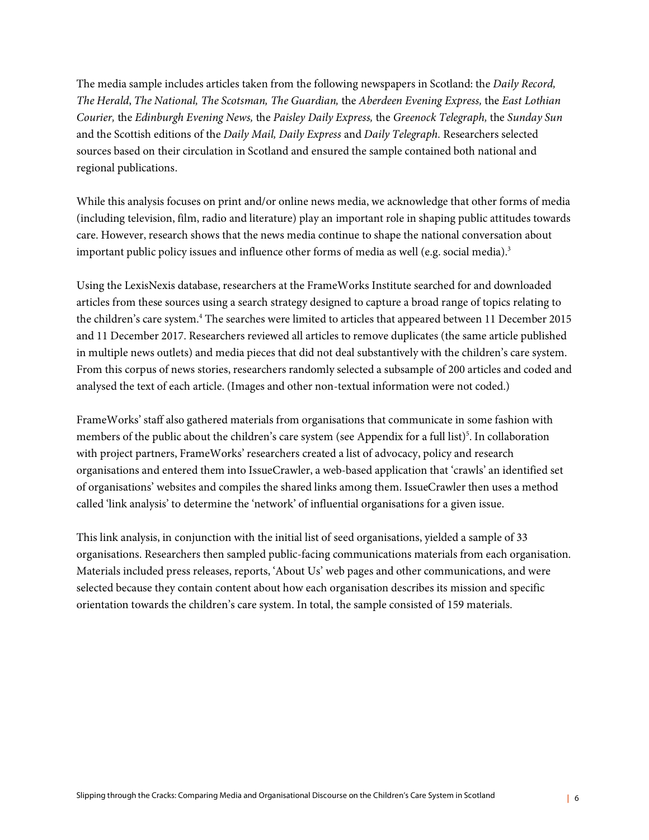The media sample includes articles taken from the following newspapers in Scotland: the *Daily Record, The Herald*, *The National, The Scotsman, The Guardian,* the *Aberdeen Evening Express,* the *East Lothian Courier,* the *Edinburgh Evening News,* the *Paisley Daily Express,* the *Greenock Telegraph,* the *Sunday Sun* and the Scottish editions of the *Daily Mail, Daily Express* and *Daily Telegraph.* Researchers selected sources based on their circulation in Scotland and ensured the sample contained both national and regional publications.

While this analysis focuses on print and/or online news media, we acknowledge that other forms of media (including television, film, radio and literature) play an important role in shaping public attitudes towards care. However, research shows that the news media continue to shape the national conversation about important public policy issues and influence other forms of media as well (e.g. social media). $3$ 

Using the LexisNexis database, researchers at the FrameWorks Institute searched for and downloaded articles from these sources using a search strategy designed to capture a broad range of topics relating to the children's care system. <sup>4</sup> The searches were limited to articles that appeared between 11 December 2015 and 11 December 2017. Researchers reviewed all articles to remove duplicates (the same article published in multiple news outlets) and media pieces that did not deal substantively with the children's care system. From this corpus of news stories, researchers randomly selected a subsample of 200 articles and coded and analysed the text of each article. (Images and other non-textual information were not coded.)

FrameWorks' staff also gathered materials from organisations that communicate in some fashion with members of the public about the children's care system (see Appendix for a full list)<sup>5</sup>. In collaboration with project partners, FrameWorks' researchers created a list of advocacy, policy and research organisations and entered them into IssueCrawler, a web-based application that 'crawls' an identified set of organisations' websites and compiles the shared links among them. IssueCrawler then uses a method called 'link analysis' to determine the 'network' of influential organisations for a given issue.

This link analysis, in conjunction with the initial list of seed organisations, yielded a sample of 33 organisations. Researchers then sampled public-facing communications materials from each organisation. Materials included press releases, reports, 'About Us' web pages and other communications, and were selected because they contain content about how each organisation describes its mission and specific orientation towards the children's care system. In total, the sample consisted of 159 materials.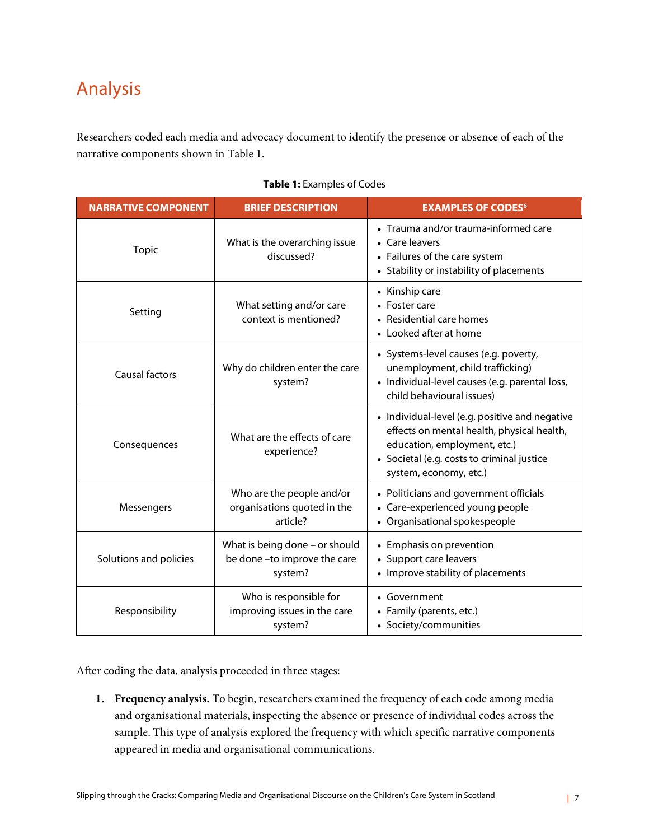# Analysis

Researchers coded each media and advocacy document to identify the presence or absence of each of the narrative components shown in Table 1.

|  | <b>Table 1: Examples of Codes</b> |  |
|--|-----------------------------------|--|
|--|-----------------------------------|--|

| <b>NARRATIVE COMPONENT</b> | <b>BRIEF DESCRIPTION</b>                                                 | <b>EXAMPLES OF CODES<sup>6</sup></b>                                                                                                                                                                 |
|----------------------------|--------------------------------------------------------------------------|------------------------------------------------------------------------------------------------------------------------------------------------------------------------------------------------------|
| <b>Topic</b>               | What is the overarching issue<br>discussed?                              | • Trauma and/or trauma-informed care<br>• Care leavers<br>• Failures of the care system<br>• Stability or instability of placements                                                                  |
| Setting                    | What setting and/or care<br>context is mentioned?                        | • Kinship care<br>$\bullet$ Foster care<br>• Residential care homes<br>• Looked after at home                                                                                                        |
| <b>Causal factors</b>      | Why do children enter the care<br>system?                                | • Systems-level causes (e.g. poverty,<br>unemployment, child trafficking)<br>· Individual-level causes (e.g. parental loss,<br>child behavioural issues)                                             |
| Consequences               | What are the effects of care<br>experience?                              | • Individual-level (e.g. positive and negative<br>effects on mental health, physical health,<br>education, employment, etc.)<br>• Societal (e.g. costs to criminal justice<br>system, economy, etc.) |
| Messengers                 | Who are the people and/or<br>organisations quoted in the<br>article?     | • Politicians and government officials<br>• Care-experienced young people<br>• Organisational spokespeople                                                                                           |
| Solutions and policies     | What is being done - or should<br>be done-to improve the care<br>system? | • Emphasis on prevention<br>• Support care leavers<br>• Improve stability of placements                                                                                                              |
| Responsibility             | Who is responsible for<br>improving issues in the care<br>system?        | • Government<br>• Family (parents, etc.)<br>• Society/communities                                                                                                                                    |

After coding the data, analysis proceeded in three stages:

**1. Frequency analysis.** To begin, researchers examined the frequency of each code among media and organisational materials, inspecting the absence or presence of individual codes across the sample. This type of analysis explored the frequency with which specific narrative components appeared in media and organisational communications.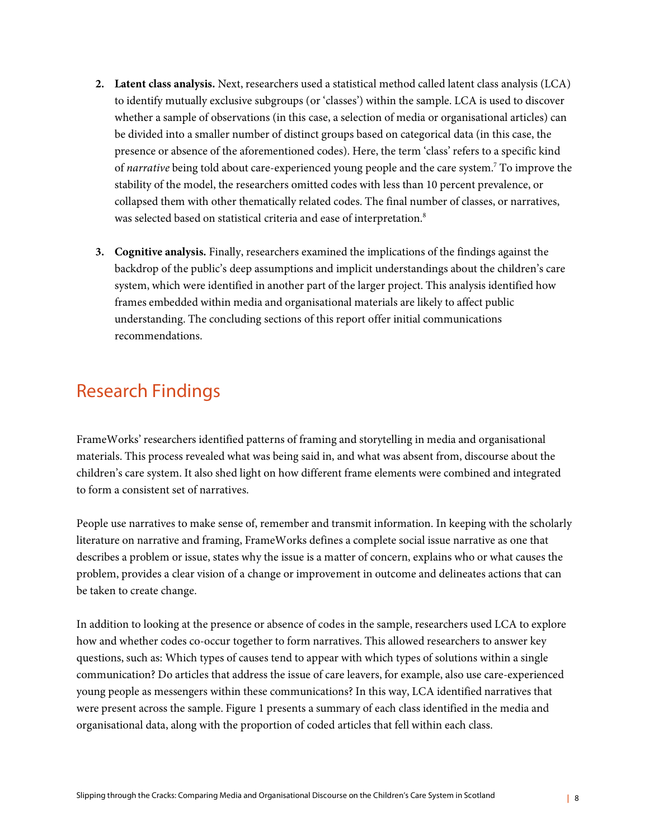- **2. Latent class analysis.** Next, researchers used a statistical method called latent class analysis (LCA) to identify mutually exclusive subgroups (or 'classes') within the sample. LCA is used to discover whether a sample of observations (in this case, a selection of media or organisational articles) can be divided into a smaller number of distinct groups based on categorical data (in this case, the presence or absence of the aforementioned codes). Here, the term 'class' refers to a specific kind of *narrative* being told about care-experienced young people and the care system.7 To improve the stability of the model, the researchers omitted codes with less than 10 percent prevalence, or collapsed them with other thematically related codes. The final number of classes, or narratives, was selected based on statistical criteria and ease of interpretation.<sup>8</sup>
- **3. Cognitive analysis.** Finally, researchers examined the implications of the findings against the backdrop of the public's deep assumptions and implicit understandings about the children's care system, which were identified in another part of the larger project. This analysis identified how frames embedded within media and organisational materials are likely to affect public understanding. The concluding sections of this report offer initial communications recommendations.

### Research Findings

FrameWorks' researchers identified patterns of framing and storytelling in media and organisational materials. This process revealed what was being said in, and what was absent from, discourse about the children's care system. It also shed light on how different frame elements were combined and integrated to form a consistent set of narratives.

People use narratives to make sense of, remember and transmit information. In keeping with the scholarly literature on narrative and framing, FrameWorks defines a complete social issue narrative as one that describes a problem or issue, states why the issue is a matter of concern, explains who or what causes the problem, provides a clear vision of a change or improvement in outcome and delineates actions that can be taken to create change.

In addition to looking at the presence or absence of codes in the sample, researchers used LCA to explore how and whether codes co-occur together to form narratives. This allowed researchers to answer key questions, such as: Which types of causes tend to appear with which types of solutions within a single communication? Do articles that address the issue of care leavers, for example, also use care-experienced young people as messengers within these communications? In this way, LCA identified narratives that were present across the sample. Figure 1 presents a summary of each class identified in the media and organisational data, along with the proportion of coded articles that fell within each class.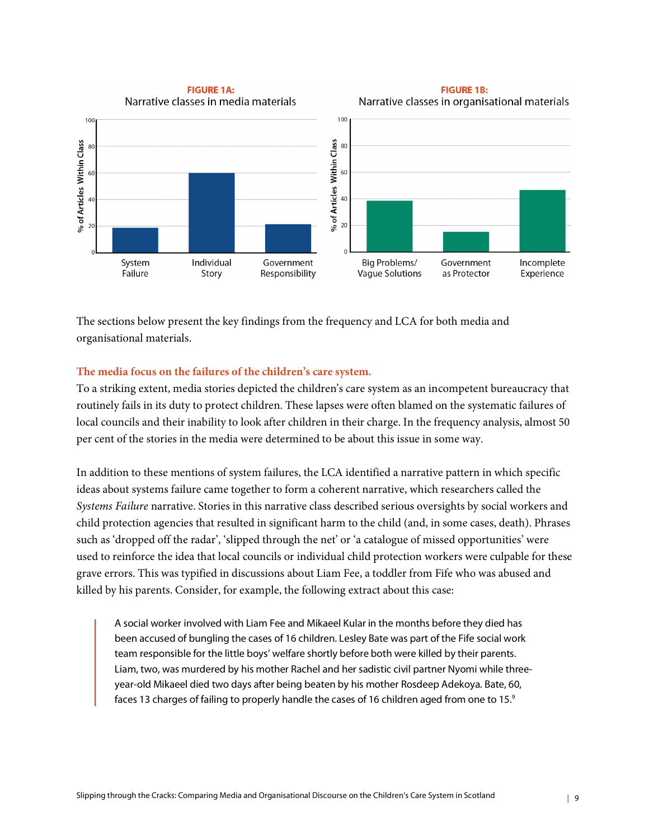

The sections below present the key findings from the frequency and LCA for both media and organisational materials.

#### **The media focus on the failures of the children's care system.**

To a striking extent, media stories depicted the children's care system as an incompetent bureaucracy that routinely fails in its duty to protect children. These lapses were often blamed on the systematic failures of local councils and their inability to look after children in their charge. In the frequency analysis, almost 50 per cent of the stories in the media were determined to be about this issue in some way.

In addition to these mentions of system failures, the LCA identified a narrative pattern in which specific ideas about systems failure came together to form a coherent narrative, which researchers called the *Systems Failure* narrative. Stories in this narrative class described serious oversights by social workers and child protection agencies that resulted in significant harm to the child (and, in some cases, death). Phrases such as 'dropped off the radar', 'slipped through the net' or 'a catalogue of missed opportunities' were used to reinforce the idea that local councils or individual child protection workers were culpable for these grave errors. This was typified in discussions about Liam Fee, a toddler from Fife who was abused and killed by his parents. Consider, for example, the following extract about this case:

A social worker involved with Liam Fee and Mikaeel Kular in the months before they died has been accused of bungling the cases of 16 children. Lesley Bate was part of the Fife social work team responsible for the little boys' welfare shortly before both were killed by their parents. Liam, two, was murdered by his mother Rachel and her sadistic civil partner Nyomi while threeyear-old Mikaeel died two days after being beaten by his mother Rosdeep Adekoya. Bate, 60, faces 13 charges of failing to properly handle the cases of 16 children aged from one to 15.<sup>9</sup>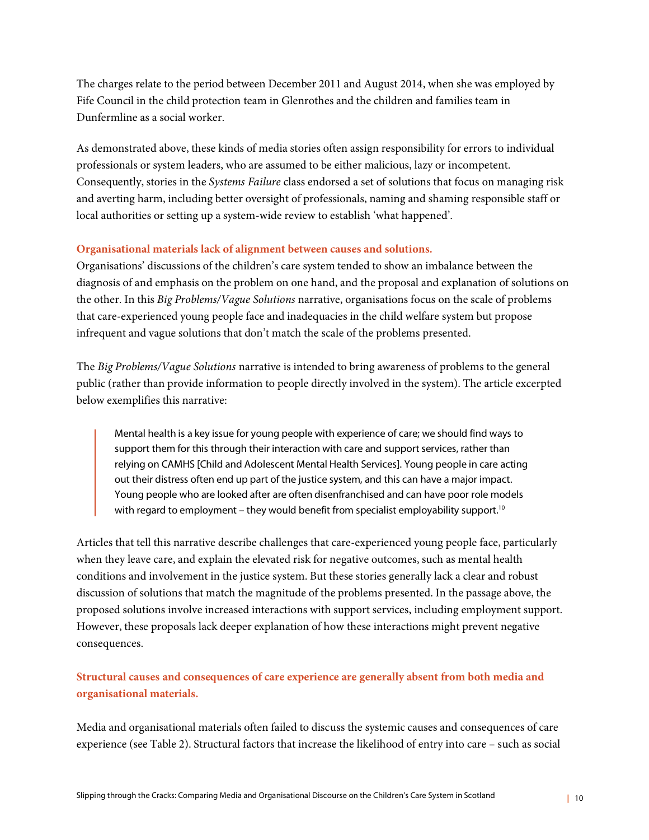The charges relate to the period between December 2011 and August 2014, when she was employed by Fife Council in the child protection team in Glenrothes and the children and families team in Dunfermline as a social worker.

As demonstrated above, these kinds of media stories often assign responsibility for errors to individual professionals or system leaders, who are assumed to be either malicious, lazy or incompetent. Consequently, stories in the *Systems Failure* class endorsed a set of solutions that focus on managing risk and averting harm, including better oversight of professionals, naming and shaming responsible staff or local authorities or setting up a system-wide review to establish 'what happened'.

#### **Organisational materials lack of alignment between causes and solutions.**

Organisations' discussions of the children's care system tended to show an imbalance between the diagnosis of and emphasis on the problem on one hand, and the proposal and explanation of solutions on the other. In this *Big Problems/Vague Solutions* narrative, organisations focus on the scale of problems that care-experienced young people face and inadequacies in the child welfare system but propose infrequent and vague solutions that don't match the scale of the problems presented.

The *Big Problems/Vague Solutions* narrative is intended to bring awareness of problems to the general public (rather than provide information to people directly involved in the system). The article excerpted below exemplifies this narrative:

Mental health is a key issue for young people with experience of care; we should find ways to support them for this through their interaction with care and support services, rather than relying on CAMHS [Child and Adolescent Mental Health Services]. Young people in care acting out their distress often end up part of the justice system, and this can have a major impact. Young people who are looked after are often disenfranchised and can have poor role models with regard to employment – they would benefit from specialist employability support.<sup>10</sup>

Articles that tell this narrative describe challenges that care-experienced young people face, particularly when they leave care, and explain the elevated risk for negative outcomes, such as mental health conditions and involvement in the justice system. But these stories generally lack a clear and robust discussion of solutions that match the magnitude of the problems presented. In the passage above, the proposed solutions involve increased interactions with support services, including employment support. However, these proposals lack deeper explanation of how these interactions might prevent negative consequences.

**Structural causes and consequences of care experience are generally absent from both media and organisational materials.** 

Media and organisational materials often failed to discuss the systemic causes and consequences of care experience (see Table 2). Structural factors that increase the likelihood of entry into care – such as social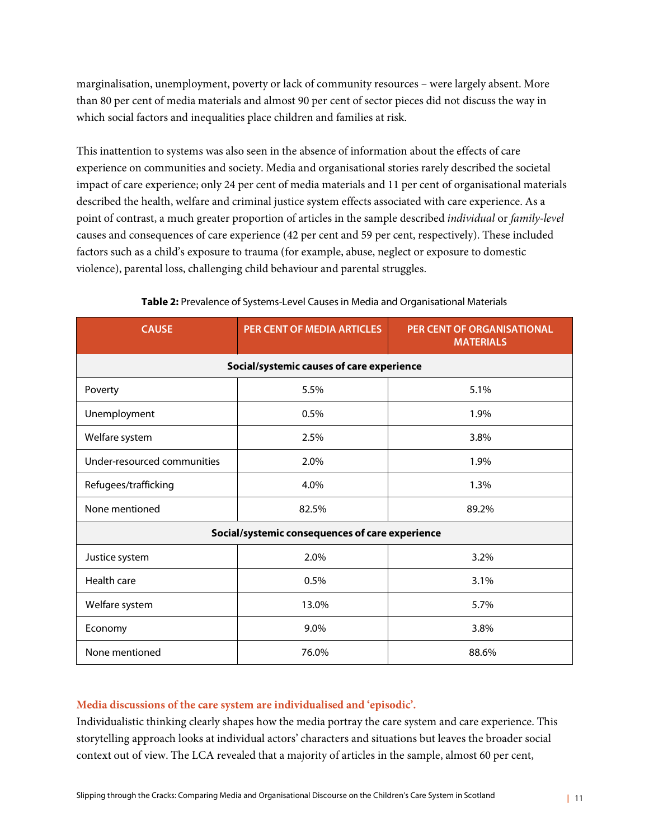marginalisation, unemployment, poverty or lack of community resources – were largely absent. More than 80 per cent of media materials and almost 90 per cent of sector pieces did not discuss the way in which social factors and inequalities place children and families at risk.

This inattention to systems was also seen in the absence of information about the effects of care experience on communities and society. Media and organisational stories rarely described the societal impact of care experience; only 24 per cent of media materials and 11 per cent of organisational materials described the health, welfare and criminal justice system effects associated with care experience. As a point of contrast, a much greater proportion of articles in the sample described *individual* or *family-level* causes and consequences of care experience (42 per cent and 59 per cent, respectively). These included factors such as a child's exposure to trauma (for example, abuse, neglect or exposure to domestic violence), parental loss, challenging child behaviour and parental struggles.

| <b>CAUSE</b>                                    | <b>PER CENT OF MEDIA ARTICLES</b> | <b>PER CENT OF ORGANISATIONAL</b><br><b>MATERIALS</b> |  |
|-------------------------------------------------|-----------------------------------|-------------------------------------------------------|--|
| Social/systemic causes of care experience       |                                   |                                                       |  |
| Poverty                                         | 5.5%                              | 5.1%                                                  |  |
| Unemployment                                    | 0.5%                              | 1.9%                                                  |  |
| Welfare system                                  | 2.5%                              | 3.8%                                                  |  |
| Under-resourced communities                     | 2.0%                              | 1.9%                                                  |  |
| Refugees/trafficking                            | 4.0%                              | 1.3%                                                  |  |
| None mentioned                                  | 82.5%                             | 89.2%                                                 |  |
| Social/systemic consequences of care experience |                                   |                                                       |  |
| Justice system                                  | 2.0%                              | 3.2%                                                  |  |
| Health care                                     | 0.5%                              | 3.1%                                                  |  |
| Welfare system                                  | 13.0%                             | 5.7%                                                  |  |
| Economy                                         | 9.0%                              | 3.8%                                                  |  |
| None mentioned                                  | 76.0%                             | 88.6%                                                 |  |

#### **Table 2:** Prevalence of Systems-Level Causes in Media and Organisational Materials

#### **Media discussions of the care system are individualised and 'episodic'.**

Individualistic thinking clearly shapes how the media portray the care system and care experience. This storytelling approach looks at individual actors' characters and situations but leaves the broader social context out of view. The LCA revealed that a majority of articles in the sample, almost 60 per cent,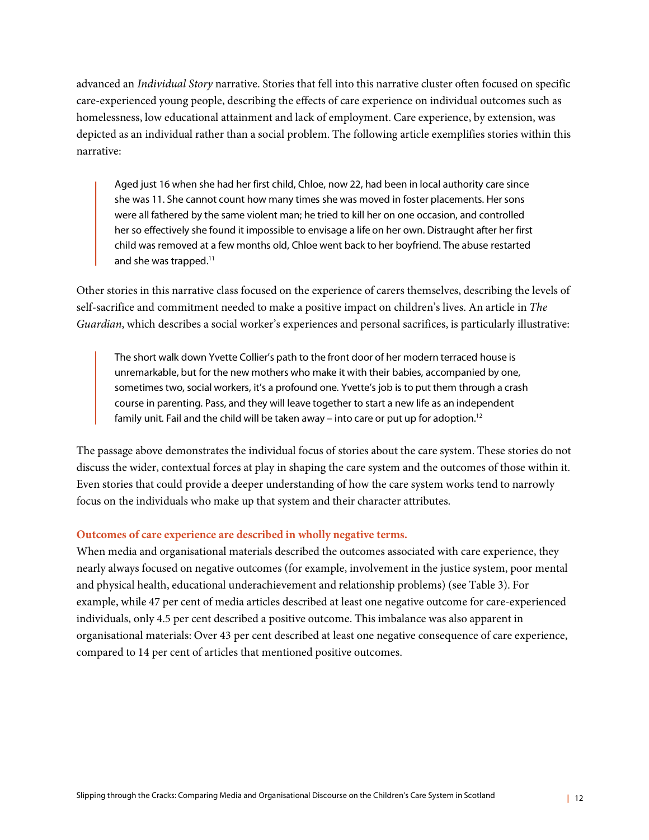advanced an *Individual Story* narrative. Stories that fell into this narrative cluster often focused on specific care-experienced young people, describing the effects of care experience on individual outcomes such as homelessness, low educational attainment and lack of employment. Care experience, by extension, was depicted as an individual rather than a social problem. The following article exemplifies stories within this narrative:

Aged just 16 when she had her first child, Chloe, now 22, had been in local authority care since she was 11. She cannot count how many times she was moved in foster placements. Her sons were all fathered by the same violent man; he tried to kill her on one occasion, and controlled her so effectively she found it impossible to envisage a life on her own. Distraught after her first child was removed at a few months old, Chloe went back to her boyfriend. The abuse restarted and she was trapped.<sup>11</sup>

Other stories in this narrative class focused on the experience of carers themselves, describing the levels of self-sacrifice and commitment needed to make a positive impact on children's lives. An article in *The Guardian*, which describes a social worker's experiences and personal sacrifices, is particularly illustrative:

The short walk down Yvette Collier's path to the front door of her modern terraced house is unremarkable, but for the new mothers who make it with their babies, accompanied by one, sometimes two, social workers, it's a profound one. Yvette's job is to put them through a crash course in parenting. Pass, and they will leave together to start a new life as an independent family unit. Fail and the child will be taken away – into care or put up for adoption.<sup>12</sup>

The passage above demonstrates the individual focus of stories about the care system. These stories do not discuss the wider, contextual forces at play in shaping the care system and the outcomes of those within it. Even stories that could provide a deeper understanding of how the care system works tend to narrowly focus on the individuals who make up that system and their character attributes.

#### **Outcomes of care experience are described in wholly negative terms.**

When media and organisational materials described the outcomes associated with care experience, they nearly always focused on negative outcomes (for example, involvement in the justice system, poor mental and physical health, educational underachievement and relationship problems) (see Table 3). For example, while 47 per cent of media articles described at least one negative outcome for care-experienced individuals, only 4.5 per cent described a positive outcome. This imbalance was also apparent in organisational materials: Over 43 per cent described at least one negative consequence of care experience, compared to 14 per cent of articles that mentioned positive outcomes.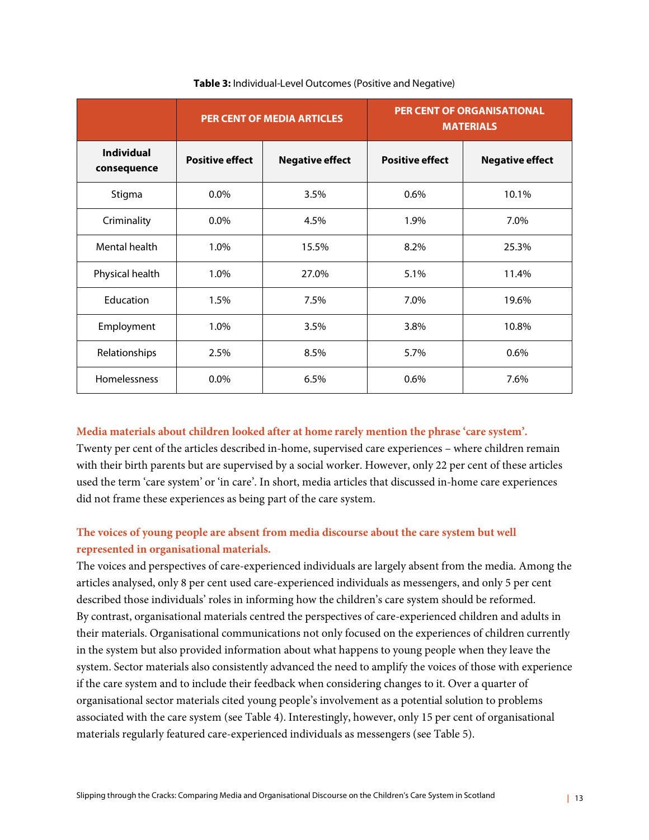|                                  | <b>PER CENT OF MEDIA ARTICLES</b> |                        | <b>PER CENT OF ORGANISATIONAL</b><br><b>MATERIALS</b> |                        |  |
|----------------------------------|-----------------------------------|------------------------|-------------------------------------------------------|------------------------|--|
| <b>Individual</b><br>consequence | <b>Positive effect</b>            | <b>Negative effect</b> | <b>Positive effect</b>                                | <b>Negative effect</b> |  |
| Stigma                           | $0.0\%$                           | 3.5%                   | 0.6%                                                  | 10.1%                  |  |
| Criminality                      | $0.0\%$                           | 4.5%                   | 1.9%                                                  | 7.0%                   |  |
| Mental health                    | 1.0%                              | 15.5%                  | 8.2%                                                  | 25.3%                  |  |
| Physical health                  | 1.0%                              | 27.0%                  | 5.1%                                                  | 11.4%                  |  |
| Education                        | 1.5%                              | 7.5%                   | 7.0%                                                  | 19.6%                  |  |
| Employment                       | 1.0%                              | 3.5%                   | 3.8%                                                  | 10.8%                  |  |
| Relationships                    | 2.5%                              | 8.5%                   | 5.7%                                                  | 0.6%                   |  |
| Homelessness                     | $0.0\%$                           | 6.5%                   | 0.6%                                                  | 7.6%                   |  |

#### **Table 3:** Individual-Level Outcomes (Positive and Negative)

#### **Media materials about children looked after at home rarely mention the phrase 'care system'.**

Twenty per cent of the articles described in-home, supervised care experiences – where children remain with their birth parents but are supervised by a social worker. However, only 22 per cent of these articles used the term 'care system' or 'in care'. In short, media articles that discussed in-home care experiences did not frame these experiences as being part of the care system.

#### **The voices of young people are absent from media discourse about the care system but well represented in organisational materials.**

The voices and perspectives of care-experienced individuals are largely absent from the media. Among the articles analysed, only 8 per cent used care-experienced individuals as messengers, and only 5 per cent described those individuals' roles in informing how the children's care system should be reformed. By contrast, organisational materials centred the perspectives of care-experienced children and adults in their materials. Organisational communications not only focused on the experiences of children currently in the system but also provided information about what happens to young people when they leave the system. Sector materials also consistently advanced the need to amplify the voices of those with experience if the care system and to include their feedback when considering changes to it. Over a quarter of organisational sector materials cited young people's involvement as a potential solution to problems associated with the care system (see Table 4). Interestingly, however, only 15 per cent of organisational materials regularly featured care-experienced individuals as messengers (see Table 5).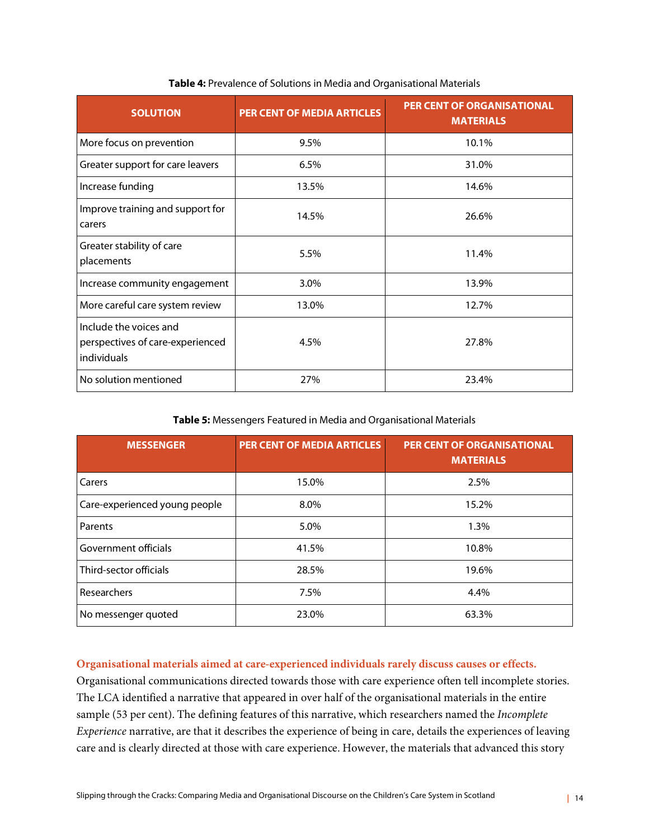| <b>SOLUTION</b>                                                           | <b>PER CENT OF MEDIA ARTICLES</b> | <b>PER CENT OF ORGANISATIONAL</b><br><b>MATERIALS</b> |
|---------------------------------------------------------------------------|-----------------------------------|-------------------------------------------------------|
| More focus on prevention                                                  | 9.5%                              | 10.1%                                                 |
| Greater support for care leavers                                          | 6.5%                              | 31.0%                                                 |
| Increase funding                                                          | 13.5%                             | 14.6%                                                 |
| Improve training and support for<br>carers                                | 14.5%                             | 26.6%                                                 |
| Greater stability of care<br>placements                                   | 5.5%                              | 11.4%                                                 |
| Increase community engagement                                             | 3.0%                              | 13.9%                                                 |
| More careful care system review                                           | 13.0%                             | 12.7%                                                 |
| Include the voices and<br>perspectives of care-experienced<br>individuals | 4.5%                              | 27.8%                                                 |
| No solution mentioned                                                     | 27%                               | 23.4%                                                 |

#### **Table 4:** Prevalence of Solutions in Media and Organisational Materials

#### **Table 5:** Messengers Featured in Media and Organisational Materials

| <b>MESSENGER</b>              | <b>PER CENT OF MEDIA ARTICLES</b> | <b>PER CENT OF ORGANISATIONAL</b><br><b>MATERIALS</b> |
|-------------------------------|-----------------------------------|-------------------------------------------------------|
| Carers                        | 15.0%                             | 2.5%                                                  |
| Care-experienced young people | 8.0%                              | 15.2%                                                 |
| Parents                       | 5.0%                              | 1.3%                                                  |
| Government officials          | 41.5%                             | 10.8%                                                 |
| Third-sector officials        | 28.5%                             | 19.6%                                                 |
| Researchers                   | 7.5%                              | 4.4%                                                  |
| No messenger quoted           | 23.0%                             | 63.3%                                                 |

#### **Organisational materials aimed at care-experienced individuals rarely discuss causes or effects.**

Organisational communications directed towards those with care experience often tell incomplete stories. The LCA identified a narrative that appeared in over half of the organisational materials in the entire sample (53 per cent). The defining features of this narrative, which researchers named the *Incomplete Experience* narrative, are that it describes the experience of being in care, details the experiences of leaving care and is clearly directed at those with care experience. However, the materials that advanced this story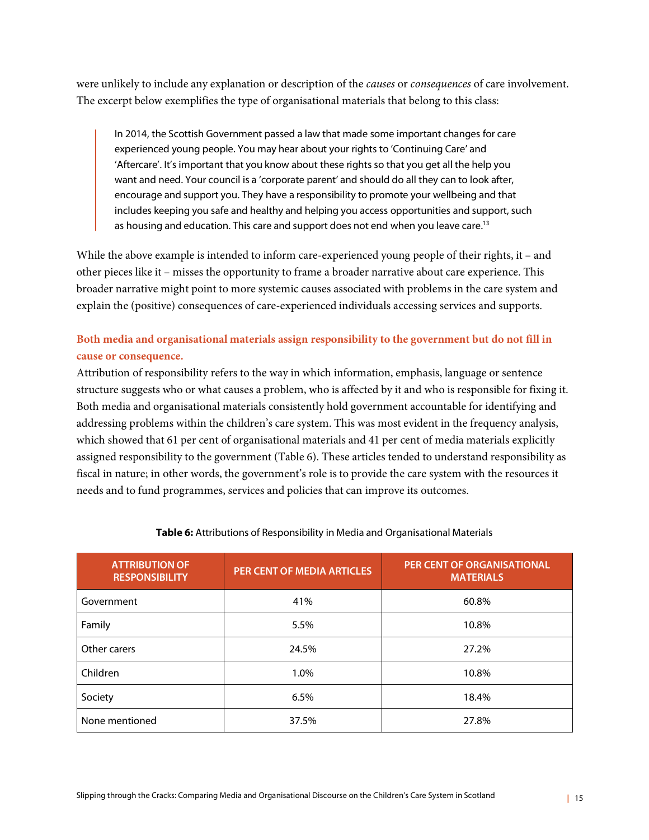were unlikely to include any explanation or description of the *causes* or *consequences* of care involvement. The excerpt below exemplifies the type of organisational materials that belong to this class:

In 2014, the Scottish Government passed a law that made some important changes for care experienced young people. You may hear about your rights to 'Continuing Care' and 'Aftercare'. It's important that you know about these rights so that you get all the help you want and need. Your council is a 'corporate parent' and should do all they can to look after, encourage and support you. They have a responsibility to promote your wellbeing and that includes keeping you safe and healthy and helping you access opportunities and support, such as housing and education. This care and support does not end when you leave care.<sup>13</sup>

While the above example is intended to inform care-experienced young people of their rights, it – and other pieces like it – misses the opportunity to frame a broader narrative about care experience. This broader narrative might point to more systemic causes associated with problems in the care system and explain the (positive) consequences of care-experienced individuals accessing services and supports.

#### **Both media and organisational materials assign responsibility to the government but do not fill in cause or consequence.**

Attribution of responsibility refers to the way in which information, emphasis, language or sentence structure suggests who or what causes a problem, who is affected by it and who is responsible for fixing it. Both media and organisational materials consistently hold government accountable for identifying and addressing problems within the children's care system. This was most evident in the frequency analysis, which showed that 61 per cent of organisational materials and 41 per cent of media materials explicitly assigned responsibility to the government (Table 6). These articles tended to understand responsibility as fiscal in nature; in other words, the government's role is to provide the care system with the resources it needs and to fund programmes, services and policies that can improve its outcomes.

| <b>ATTRIBUTION OF</b><br><b>RESPONSIBILITY</b> | PER CENT OF MEDIA ARTICLES | PER CENT OF ORGANISATIONAL<br><b>MATERIALS</b> |
|------------------------------------------------|----------------------------|------------------------------------------------|
| Government                                     | 41%                        | 60.8%                                          |
| Family                                         | 5.5%                       | 10.8%                                          |
| Other carers                                   | 24.5%                      | 27.2%                                          |
| Children                                       | 1.0%                       | 10.8%                                          |
| Society                                        | 6.5%                       | 18.4%                                          |
| None mentioned                                 | 37.5%                      | 27.8%                                          |

#### **Table 6:** Attributions of Responsibility in Media and Organisational Materials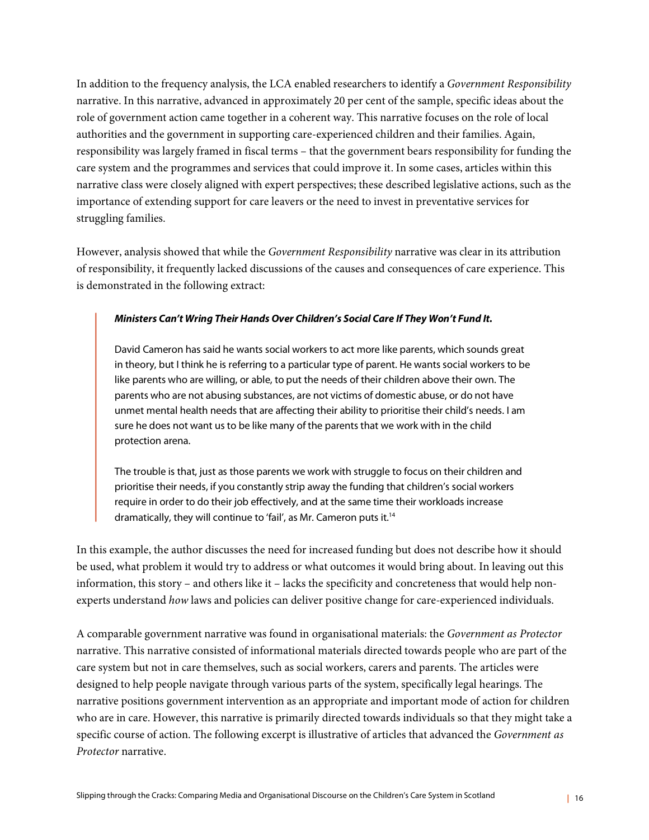In addition to the frequency analysis, the LCA enabled researchers to identify a *Government Responsibility* narrative. In this narrative, advanced in approximately 20 per cent of the sample, specific ideas about the role of government action came together in a coherent way. This narrative focuses on the role of local authorities and the government in supporting care-experienced children and their families. Again, responsibility was largely framed in fiscal terms – that the government bears responsibility for funding the care system and the programmes and services that could improve it. In some cases, articles within this narrative class were closely aligned with expert perspectives; these described legislative actions, such as the importance of extending support for care leavers or the need to invest in preventative services for struggling families.

However, analysis showed that while the *Government Responsibility* narrative was clear in its attribution of responsibility, it frequently lacked discussions of the causes and consequences of care experience. This is demonstrated in the following extract:

#### *Ministers Can't Wring Their Hands Over Children's Social Care If They Won't Fund It.*

David Cameron has said he wants social workers to act more like parents, which sounds great in theory, but I think he is referring to a particular type of parent. He wants social workers to be like parents who are willing, or able, to put the needs of their children above their own. The parents who are not abusing substances, are not victims of domestic abuse, or do not have unmet mental health needs that are affecting their ability to prioritise their child's needs. I am sure he does not want us to be like many of the parents that we work with in the child protection arena.

The trouble is that, just as those parents we work with struggle to focus on their children and prioritise their needs, if you constantly strip away the funding that children's social workers require in order to do their job effectively, and at the same time their workloads increase dramatically, they will continue to 'fail', as Mr. Cameron puts it.<sup>14</sup>

In this example, the author discusses the need for increased funding but does not describe how it should be used, what problem it would try to address or what outcomes it would bring about. In leaving out this information, this story – and others like it – lacks the specificity and concreteness that would help nonexperts understand *how* laws and policies can deliver positive change for care-experienced individuals.

A comparable government narrative was found in organisational materials: the *Government as Protector*  narrative. This narrative consisted of informational materials directed towards people who are part of the care system but not in care themselves, such as social workers, carers and parents. The articles were designed to help people navigate through various parts of the system, specifically legal hearings. The narrative positions government intervention as an appropriate and important mode of action for children who are in care. However, this narrative is primarily directed towards individuals so that they might take a specific course of action. The following excerpt is illustrative of articles that advanced the *Government as Protector* narrative.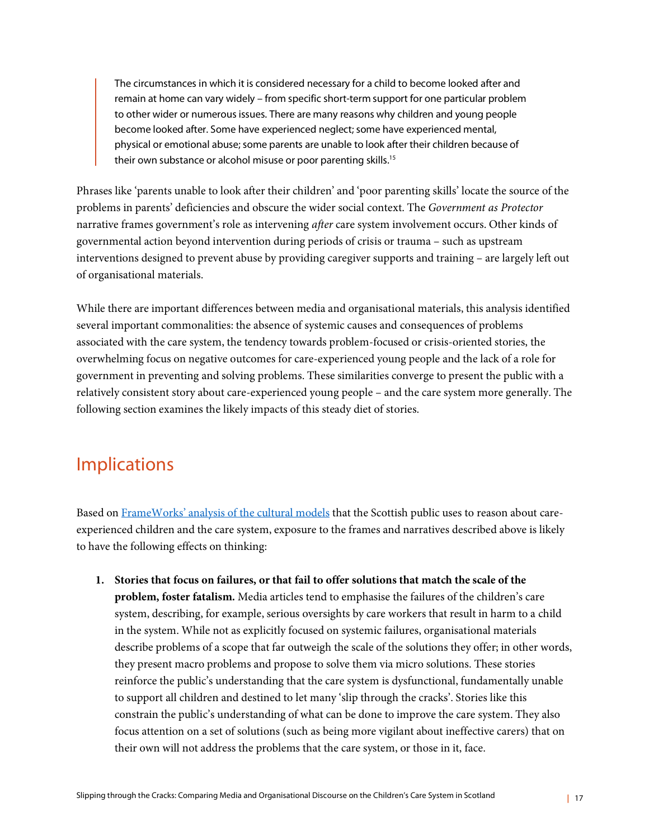The circumstances in which it is considered necessary for a child to become looked after and remain at home can vary widely – from specific short-term support for one particular problem to other wider or numerous issues. There are many reasons why children and young people become looked after. Some have experienced neglect; some have experienced mental, physical or emotional abuse; some parents are unable to look after their children because of their own substance or alcohol misuse or poor parenting skills.<sup>15</sup>

Phrases like 'parents unable to look after their children' and 'poor parenting skills' locate the source of the problems in parents' deficiencies and obscure the wider social context. The *Government as Protector*  narrative frames government's role as intervening *after* care system involvement occurs. Other kinds of governmental action beyond intervention during periods of crisis or trauma – such as upstream interventions designed to prevent abuse by providing caregiver supports and training – are largely left out of organisational materials.

While there are important differences between media and organisational materials, this analysis identified several important commonalities: the absence of systemic causes and consequences of problems associated with the care system, the tendency towards problem-focused or crisis-oriented stories, the overwhelming focus on negative outcomes for care-experienced young people and the lack of a role for government in preventing and solving problems. These similarities converge to present the public with a relatively consistent story about care-experienced young people – and the care system more generally. The following section examines the likely impacts of this steady diet of stories.

### Implications

Based on FrameWorks' analysis of the cultural models that the Scottish public uses to reason about careexperienced children and the care system, exposure to the frames and narratives described above is likely to have the following effects on thinking:

**1. Stories that focus on failures, or that fail to offer solutions that match the scale of the problem, foster fatalism.** Media articles tend to emphasise the failures of the children's care system, describing, for example, serious oversights by care workers that result in harm to a child in the system. While not as explicitly focused on systemic failures, organisational materials describe problems of a scope that far outweigh the scale of the solutions they offer; in other words, they present macro problems and propose to solve them via micro solutions. These stories reinforce the public's understanding that the care system is dysfunctional, fundamentally unable to support all children and destined to let many 'slip through the cracks'. Stories like this constrain the public's understanding of what can be done to improve the care system. They also focus attention on a set of solutions (such as being more vigilant about ineffective carers) that on their own will not address the problems that the care system, or those in it, face.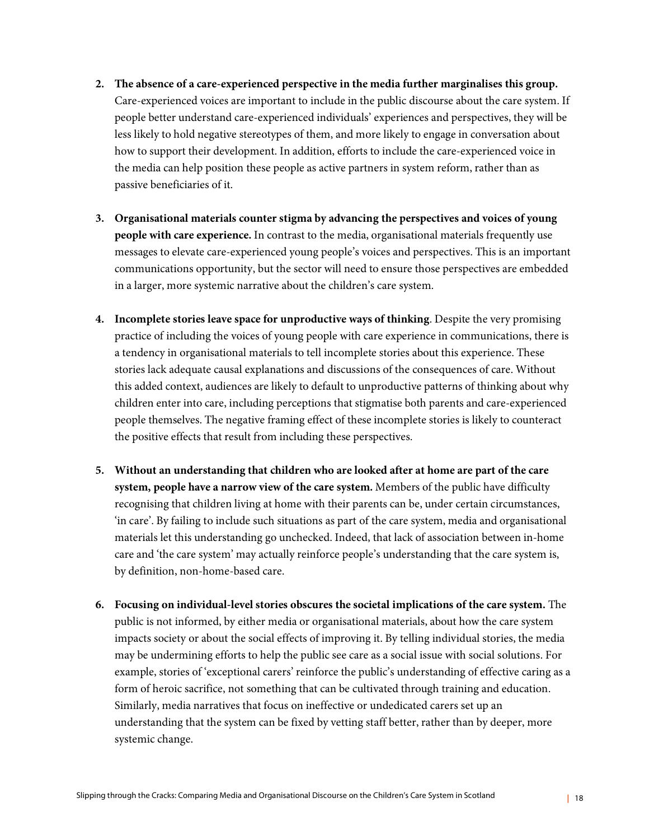- **2. The absence of a care-experienced perspective in the media further marginalises this group.**  Care-experienced voices are important to include in the public discourse about the care system. If people better understand care-experienced individuals' experiences and perspectives, they will be less likely to hold negative stereotypes of them, and more likely to engage in conversation about how to support their development. In addition, efforts to include the care-experienced voice in the media can help position these people as active partners in system reform, rather than as passive beneficiaries of it.
- **3. Organisational materials counter stigma by advancing the perspectives and voices of young people with care experience.** In contrast to the media, organisational materials frequently use messages to elevate care-experienced young people's voices and perspectives. This is an important communications opportunity, but the sector will need to ensure those perspectives are embedded in a larger, more systemic narrative about the children's care system.
- **4. Incomplete stories leave space for unproductive ways of thinking**. Despite the very promising practice of including the voices of young people with care experience in communications, there is a tendency in organisational materials to tell incomplete stories about this experience. These stories lack adequate causal explanations and discussions of the consequences of care. Without this added context, audiences are likely to default to unproductive patterns of thinking about why children enter into care, including perceptions that stigmatise both parents and care-experienced people themselves. The negative framing effect of these incomplete stories is likely to counteract the positive effects that result from including these perspectives.
- **5. Without an understanding that children who are looked after at home are part of the care system, people have a narrow view of the care system.** Members of the public have difficulty recognising that children living at home with their parents can be, under certain circumstances, 'in care'. By failing to include such situations as part of the care system, media and organisational materials let this understanding go unchecked. Indeed, that lack of association between in-home care and 'the care system' may actually reinforce people's understanding that the care system is, by definition, non-home-based care.
- **6. Focusing on individual-level stories obscures the societal implications of the care system.** The public is not informed, by either media or organisational materials, about how the care system impacts society or about the social effects of improving it. By telling individual stories, the media may be undermining efforts to help the public see care as a social issue with social solutions. For example, stories of 'exceptional carers' reinforce the public's understanding of effective caring as a form of heroic sacrifice, not something that can be cultivated through training and education. Similarly, media narratives that focus on ineffective or undedicated carers set up an understanding that the system can be fixed by vetting staff better, rather than by deeper, more systemic change.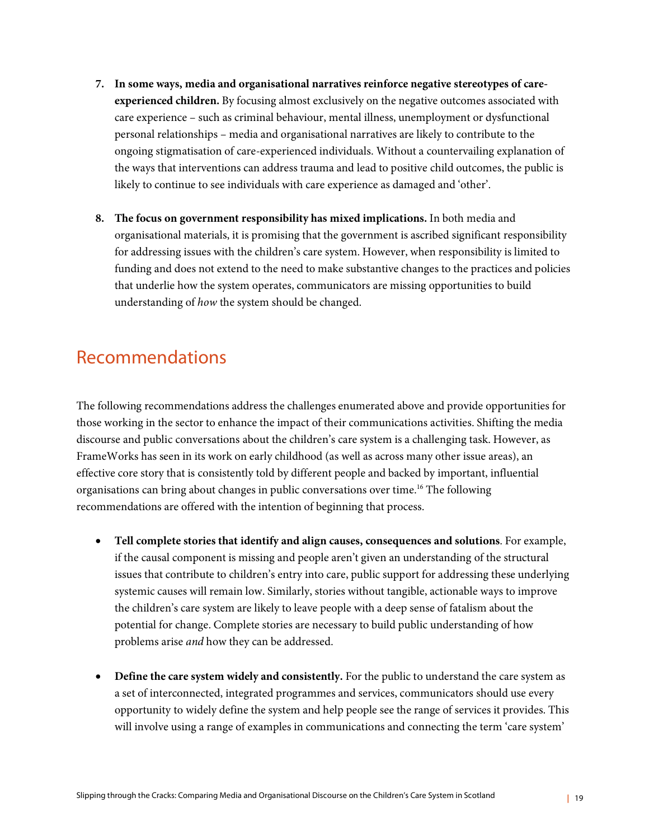- **7. In some ways, media and organisational narratives reinforce negative stereotypes of careexperienced children.** By focusing almost exclusively on the negative outcomes associated with care experience – such as criminal behaviour, mental illness, unemployment or dysfunctional personal relationships – media and organisational narratives are likely to contribute to the ongoing stigmatisation of care-experienced individuals. Without a countervailing explanation of the ways that interventions can address trauma and lead to positive child outcomes, the public is likely to continue to see individuals with care experience as damaged and 'other'.
- **8. The focus on government responsibility has mixed implications.** In both media and organisational materials, it is promising that the government is ascribed significant responsibility for addressing issues with the children's care system. However, when responsibility is limited to funding and does not extend to the need to make substantive changes to the practices and policies that underlie how the system operates, communicators are missing opportunities to build understanding of *how* the system should be changed.

### Recommendations

The following recommendations address the challenges enumerated above and provide opportunities for those working in the sector to enhance the impact of their communications activities. Shifting the media discourse and public conversations about the children's care system is a challenging task. However, as FrameWorks has seen in its work on early childhood (as well as across many other issue areas), an effective core story that is consistently told by different people and backed by important, influential organisations can bring about changes in public conversations over time.16 The following recommendations are offered with the intention of beginning that process.

- **Tell complete stories that identify and align causes, consequences and solutions**. For example, if the causal component is missing and people aren't given an understanding of the structural issues that contribute to children's entry into care, public support for addressing these underlying systemic causes will remain low. Similarly, stories without tangible, actionable ways to improve the children's care system are likely to leave people with a deep sense of fatalism about the potential for change. Complete stories are necessary to build public understanding of how problems arise *and* how they can be addressed.
- **Define the care system widely and consistently.** For the public to understand the care system as a set of interconnected, integrated programmes and services, communicators should use every opportunity to widely define the system and help people see the range of services it provides. This will involve using a range of examples in communications and connecting the term 'care system'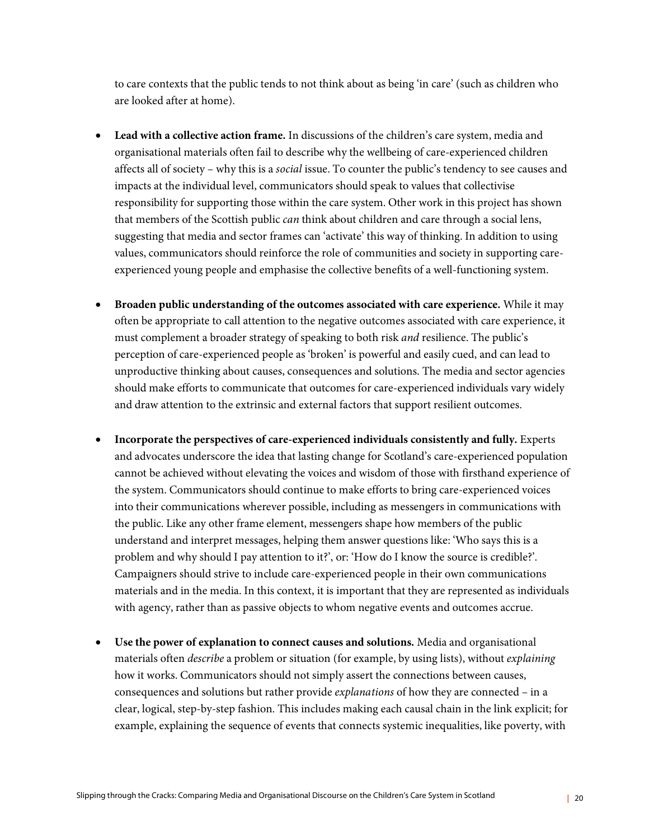to care contexts that the public tends to not think about as being 'in care' (such as children who are looked after at home).

- **Lead with a collective action frame.** In discussions of the children's care system, media and organisational materials often fail to describe why the wellbeing of care-experienced children affects all of society – why this is a *social* issue. To counter the public's tendency to see causes and impacts at the individual level, communicators should speak to values that collectivise responsibility for supporting those within the care system. Other work in this project has shown that members of the Scottish public *can* think about children and care through a social lens, suggesting that media and sector frames can 'activate' this way of thinking. In addition to using values, communicators should reinforce the role of communities and society in supporting careexperienced young people and emphasise the collective benefits of a well-functioning system.
- **Broaden public understanding of the outcomes associated with care experience.** While it may often be appropriate to call attention to the negative outcomes associated with care experience, it must complement a broader strategy of speaking to both risk *and* resilience. The public's perception of care-experienced people as 'broken' is powerful and easily cued, and can lead to unproductive thinking about causes, consequences and solutions. The media and sector agencies should make efforts to communicate that outcomes for care-experienced individuals vary widely and draw attention to the extrinsic and external factors that support resilient outcomes.
- **Incorporate the perspectives of care-experienced individuals consistently and fully.** Experts and advocates underscore the idea that lasting change for Scotland's care-experienced population cannot be achieved without elevating the voices and wisdom of those with firsthand experience of the system. Communicators should continue to make efforts to bring care-experienced voices into their communications wherever possible, including as messengers in communications with the public. Like any other frame element, messengers shape how members of the public understand and interpret messages, helping them answer questions like: 'Who says this is a problem and why should I pay attention to it?', or: 'How do I know the source is credible?'. Campaigners should strive to include care-experienced people in their own communications materials and in the media. In this context, it is important that they are represented as individuals with agency, rather than as passive objects to whom negative events and outcomes accrue.
- **Use the power of explanation to connect causes and solutions.** Media and organisational materials often *describe* a problem or situation (for example, by using lists), without *explaining*  how it works. Communicators should not simply assert the connections between causes, consequences and solutions but rather provide *explanations* of how they are connected – in a clear, logical, step-by-step fashion. This includes making each causal chain in the link explicit; for example, explaining the sequence of events that connects systemic inequalities, like poverty, with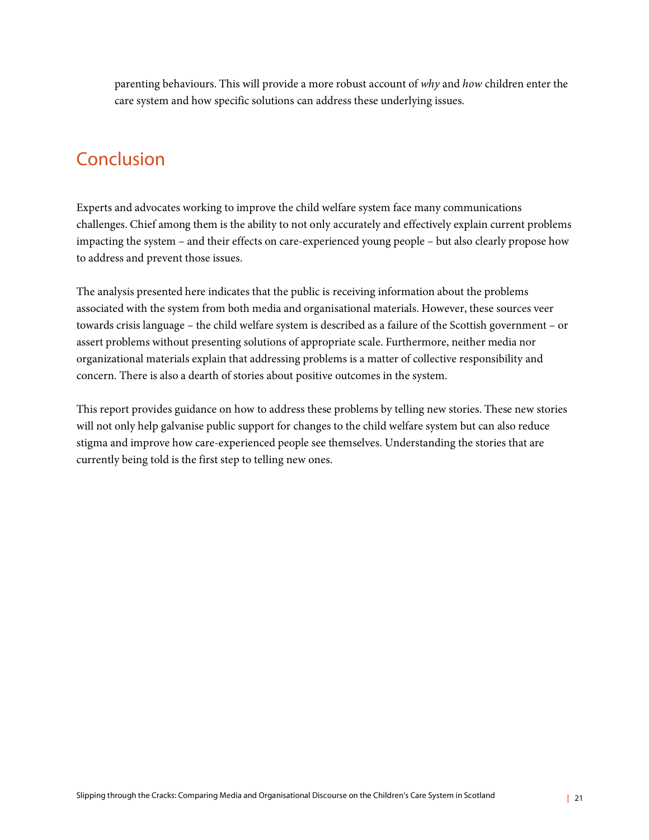parenting behaviours. This will provide a more robust account of *why* and *how* children enter the care system and how specific solutions can address these underlying issues.

### Conclusion

Experts and advocates working to improve the child welfare system face many communications challenges. Chief among them is the ability to not only accurately and effectively explain current problems impacting the system – and their effects on care-experienced young people – but also clearly propose how to address and prevent those issues.

The analysis presented here indicates that the public is receiving information about the problems associated with the system from both media and organisational materials. However, these sources veer towards crisis language – the child welfare system is described as a failure of the Scottish government – or assert problems without presenting solutions of appropriate scale. Furthermore, neither media nor organizational materials explain that addressing problems is a matter of collective responsibility and concern. There is also a dearth of stories about positive outcomes in the system.

This report provides guidance on how to address these problems by telling new stories. These new stories will not only help galvanise public support for changes to the child welfare system but can also reduce stigma and improve how care-experienced people see themselves. Understanding the stories that are currently being told is the first step to telling new ones.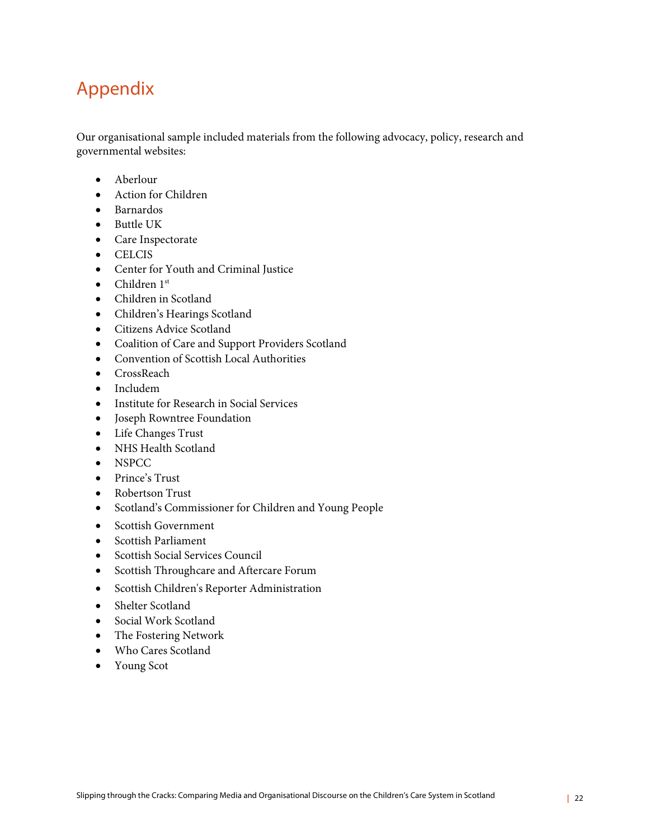# Appendix

Our organisational sample included materials from the following advocacy, policy, research and governmental websites:

- Aberlour
- Action for Children
- Barnardos
- Buttle UK
- Care Inspectorate
- CELCIS
- Center for Youth and Criminal Justice
- $\bullet$  Children 1st
- Children in Scotland
- Children's Hearings Scotland
- Citizens Advice Scotland
- Coalition of Care and Support Providers Scotland
- Convention of Scottish Local Authorities
- CrossReach
- Includem
- Institute for Research in Social Services
- Joseph Rowntree Foundation
- Life Changes Trust
- NHS Health Scotland
- NSPCC
- Prince's Trust
- Robertson Trust
- Scotland's Commissioner for Children and Young People
- Scottish Government
- Scottish Parliament
- Scottish Social Services Council
- Scottish Throughcare and Aftercare Forum
- Scottish Children's Reporter Administration
- Shelter Scotland
- Social Work Scotland
- The Fostering Network
- Who Cares Scotland
- Young Scot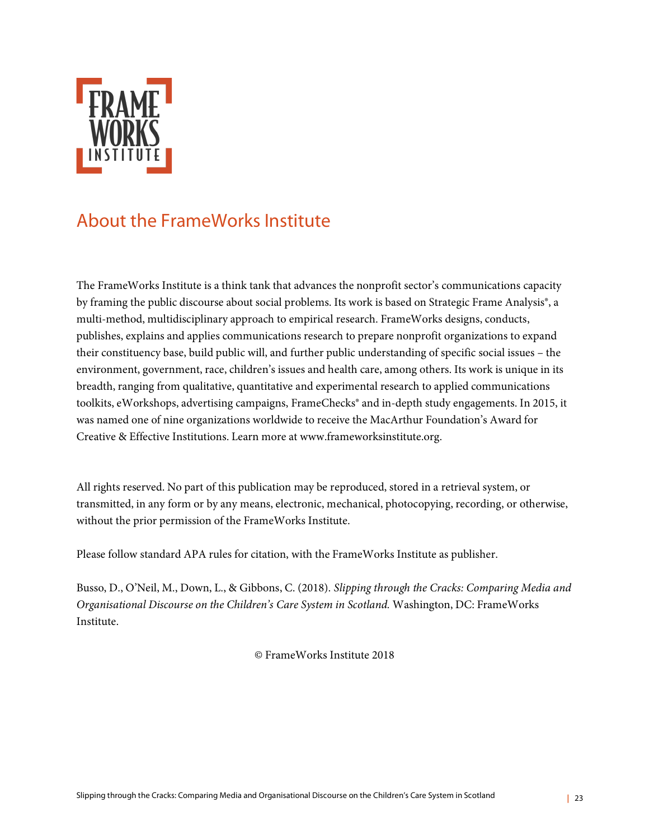

## About the FrameWorks Institute

The FrameWorks Institute is a think tank that advances the nonprofit sector's communications capacity by framing the public discourse about social problems. Its work is based on Strategic Frame Analysis®, a multi-method, multidisciplinary approach to empirical research. FrameWorks designs, conducts, publishes, explains and applies communications research to prepare nonprofit organizations to expand their constituency base, build public will, and further public understanding of specific social issues – the environment, government, race, children's issues and health care, among others. Its work is unique in its breadth, ranging from qualitative, quantitative and experimental research to applied communications toolkits, eWorkshops, advertising campaigns, FrameChecks® and in-depth study engagements. In 2015, it was named one of nine organizations worldwide to receive the MacArthur Foundation's Award for Creative & Effective Institutions. Learn more at www.frameworksinstitute.org.

All rights reserved. No part of this publication may be reproduced, stored in a retrieval system, or transmitted, in any form or by any means, electronic, mechanical, photocopying, recording, or otherwise, without the prior permission of the FrameWorks Institute.

Please follow standard APA rules for citation, with the FrameWorks Institute as publisher.

Busso, D., O'Neil, M., Down, L., & Gibbons, C. (2018). *Slipping through the Cracks: Comparing Media and Organisational Discourse on the Children's Care System in Scotland.* Washington, DC: FrameWorks Institute.

© FrameWorks Institute 2018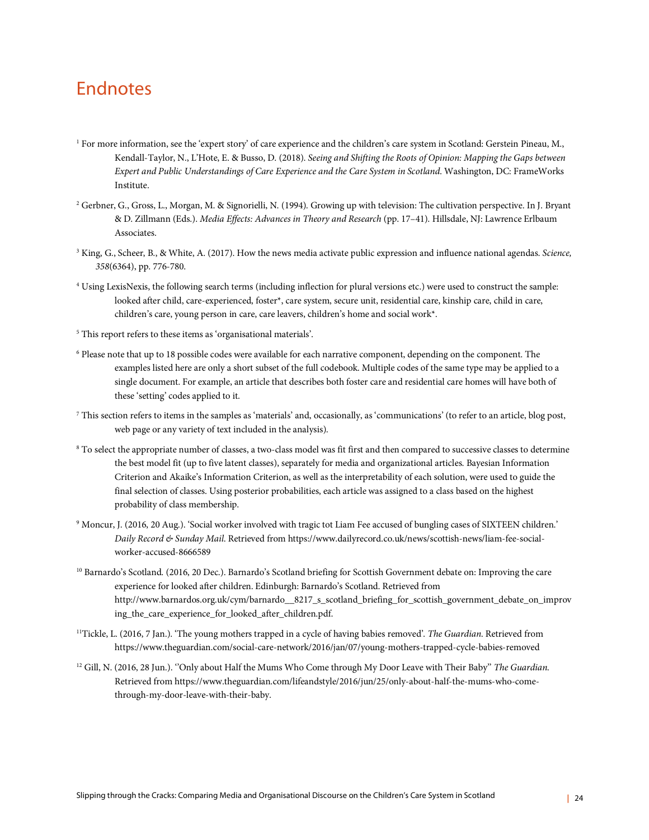### **Endnotes**

- <sup>1</sup> For more information, see the 'expert story' of care experience and the children's care system in Scotland: Gerstein Pineau, M., Kendall-Taylor, N., L'Hote, E. & Busso, D. (2018). *Seeing and Shifting the Roots of Opinion: Mapping the Gaps between Expert and Public Understandings of Care Experience and the Care System in Scotland*. Washington, DC: FrameWorks Institute.
- <sup>2</sup> Gerbner, G., Gross, L., Morgan, M. & Signorielli, N. (1994). Growing up with television: The cultivation perspective. In J. Bryant & D. Zillmann (Eds.). *Media Effects: Advances in Theory and Research* (pp. 17–41). Hillsdale, NJ: Lawrence Erlbaum Associates.
- <sup>3</sup> King, G., Scheer, B., & White, A. (2017). How the news media activate public expression and influence national agendas. *Science, 358*(6364), pp. 776-780.
- <sup>4</sup> Using LexisNexis, the following search terms (including inflection for plural versions etc.) were used to construct the sample: looked after child, care-experienced, foster\*, care system, secure unit, residential care, kinship care, child in care, children's care, young person in care, care leavers, children's home and social work\*.
- <sup>5</sup> This report refers to these items as 'organisational materials'.
- <sup>6</sup> Please note that up to 18 possible codes were available for each narrative component, depending on the component. The examples listed here are only a short subset of the full codebook. Multiple codes of the same type may be applied to a single document. For example, an article that describes both foster care and residential care homes will have both of these 'setting' codes applied to it.
- <sup>7</sup> This section refers to items in the samples as 'materials' and, occasionally, as 'communications' (to refer to an article, blog post, web page or any variety of text included in the analysis).
- <sup>8</sup> To select the appropriate number of classes, a two-class model was fit first and then compared to successive classes to determine the best model fit (up to five latent classes), separately for media and organizational articles. Bayesian Information Criterion and Akaike's Information Criterion, as well as the interpretability of each solution, were used to guide the final selection of classes. Using posterior probabilities, each article was assigned to a class based on the highest probability of class membership.
- <sup>9</sup> Moncur, J. (2016, 20 Aug.). 'Social worker involved with tragic tot Liam Fee accused of bungling cases of SIXTEEN children.' *Daily Record & Sunday Mail*. Retrieved from https://www.dailyrecord.co.uk/news/scottish-news/liam-fee-socialworker-accused-8666589
- <sup>10</sup> Barnardo's Scotland. (2016, 20 Dec.). Barnardo's Scotland briefing for Scottish Government debate on: Improving the care experience for looked after children. Edinburgh: Barnardo's Scotland. Retrieved from http://www.barnardos.org.uk/cym/barnardo\_\_8217\_s\_scotland\_briefing\_for\_scottish\_government\_debate\_on\_improv ing\_the\_care\_experience\_for\_looked\_after\_children.pdf.
- 11Tickle, L. (2016, 7 Jan.). 'The young mothers trapped in a cycle of having babies removed'. *The Guardian*. Retrieved from https://www.theguardian.com/social-care-network/2016/jan/07/young-mothers-trapped-cycle-babies-removed
- <sup>12</sup> Gill, N. (2016, 28 Jun.). ''Only about Half the Mums Who Come through My Door Leave with Their Baby'' *The Guardian*. Retrieved from https://www.theguardian.com/lifeandstyle/2016/jun/25/only-about-half-the-mums-who-comethrough-my-door-leave-with-their-baby.